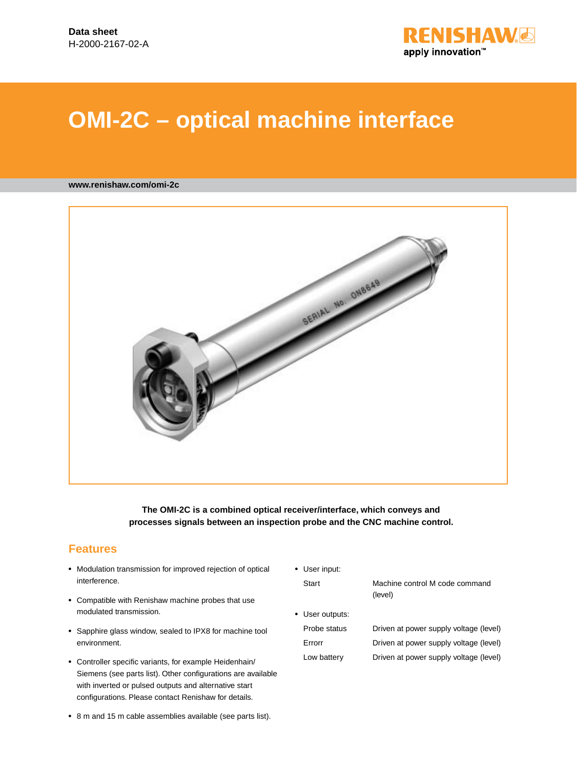

# **OMI-2C – optical machine interface**

#### **www.renishaw.com/omi-2c**



**The OMI-2C is a combined optical receiver/interface, which conveys and processes signals between an inspection probe and the CNC machine control.**

### **Features**

- Modulation transmission for improved rejection of optical interference.
- • Compatible with Renishaw machine probes that use modulated transmission.
- Sapphire glass window, sealed to IPX8 for machine tool environment.
- • Controller specific variants, for example Heidenhain/ Siemens (see parts list). Other configurations are available with inverted or pulsed outputs and alternative start configurations. Please contact Renishaw for details.

• User input:

Start Machine control M code command (level)

- • User outputs: Probe status Driven at power supply voltage (level) Errorr Driven at power supply voltage (level) Low battery Driven at power supply voltage (level)
- • 8 m and 15 m cable assemblies available (see parts list).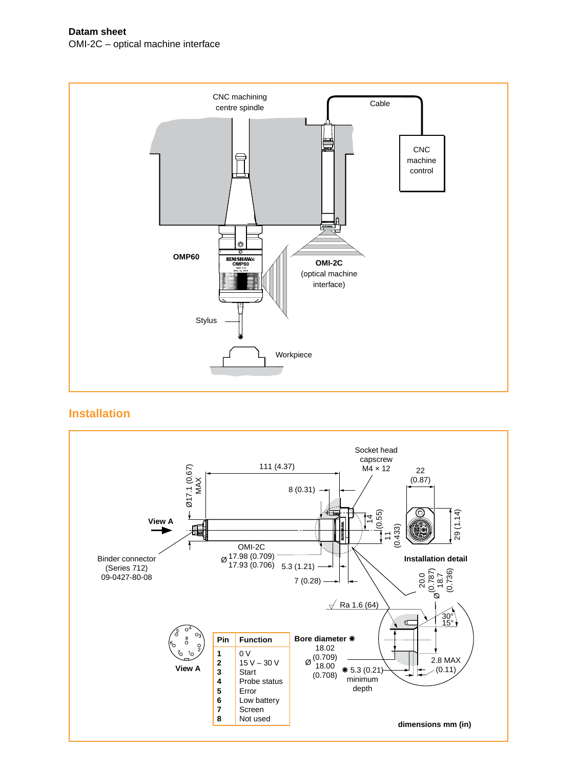**Datam sheet** OMI-2C – optical machine interface



**Installation**

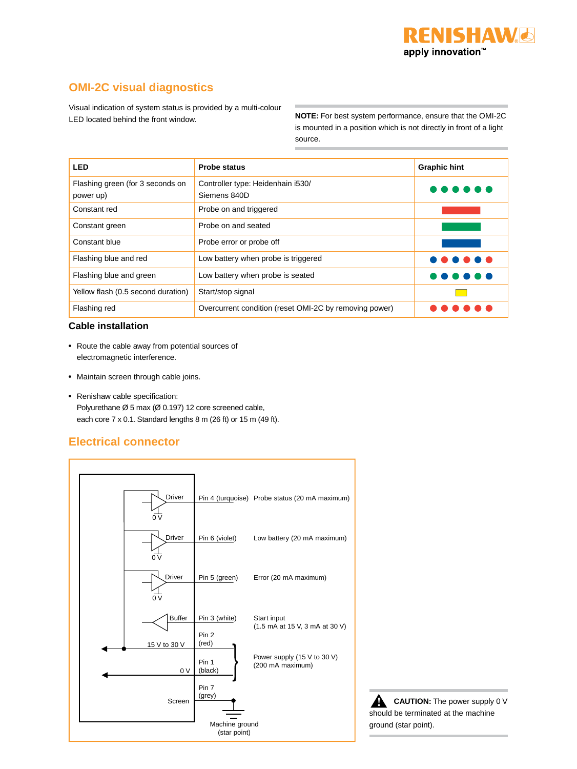## **OMI-2C visual diagnostics**

Visual indication of system status is provided by a multi-colour LED located behind the front window.

**NOTE:** For best system performance, ensure that the OMI-2C is mounted in a position which is not directly in front of a light source.

| <b>LED</b>                                    | <b>Probe status</b>                                    | <b>Graphic hint</b> |
|-----------------------------------------------|--------------------------------------------------------|---------------------|
| Flashing green (for 3 seconds on<br>power up) | Controller type: Heidenhain i530/<br>Siemens 840D      |                     |
| Constant red                                  | Probe on and triggered                                 |                     |
| Constant green                                | Probe on and seated                                    |                     |
| Constant blue                                 | Probe error or probe off                               |                     |
| Flashing blue and red                         | Low battery when probe is triggered                    |                     |
| Flashing blue and green                       | Low battery when probe is seated                       |                     |
| Yellow flash (0.5 second duration)            | Start/stop signal                                      |                     |
| Flashing red                                  | Overcurrent condition (reset OMI-2C by removing power) |                     |

#### **Cable installation**

- Route the cable away from potential sources of electromagnetic interference.
- • Maintain screen through cable joins.
- • Renishaw cable specification: Polyurethane Ø 5 max (Ø 0.197) 12 core screened cable, each core 7 x 0.1. Standard lengths 8 m (26 ft) or 15 m (49 ft).

## **Electrical connector**



**CAUTION:** The power supply 0 V should be terminated at the machine ground (star point). **!**